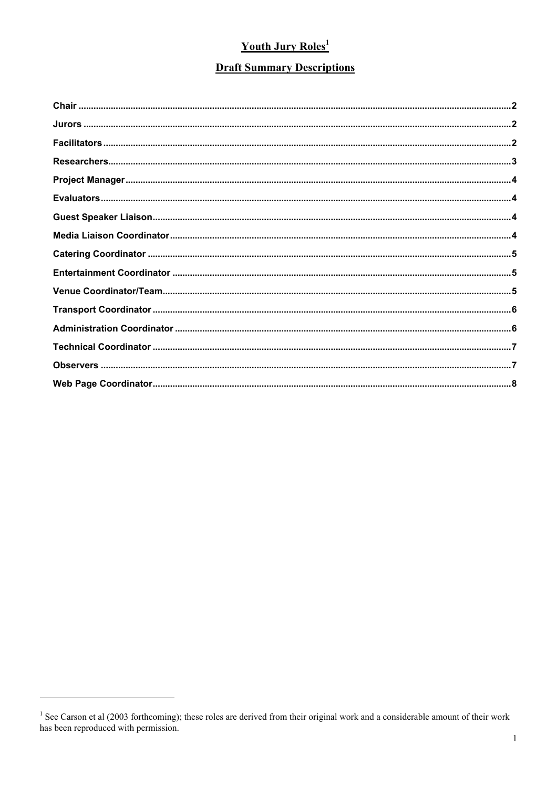# **Youth Jury Roles<sup>1</sup>**

## **Draft Summary Descriptions**

<sup>&</sup>lt;sup>1</sup> See Carson et al (2003 forthcoming); these roles are derived from their original work and a considerable amount of their work has been reproduced with permission.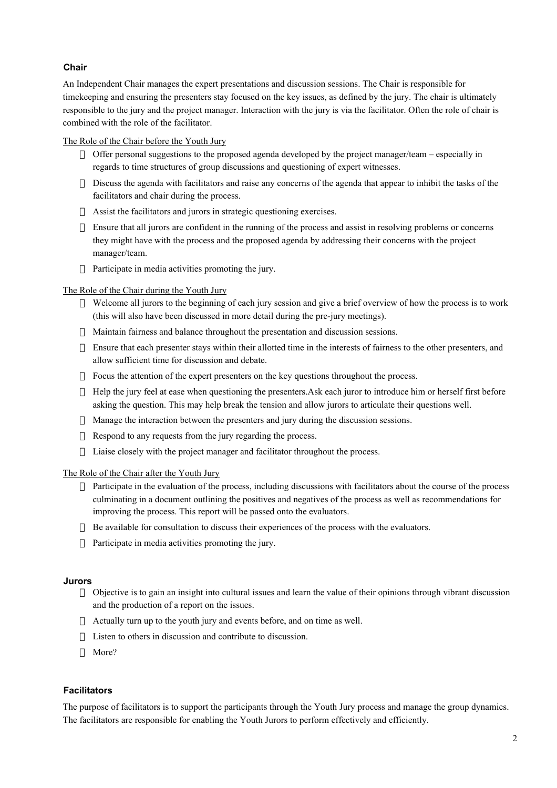## **Chair**

An Independent Chair manages the expert presentations and discussion sessions. The Chair is responsible for timekeeping and ensuring the presenters stay focused on the key issues, as defined by the jury. The chair is ultimately responsible to the jury and the project manager. Interaction with the jury is via the facilitator. Often the role of chair is combined with the role of the facilitator.

The Role of the Chair before the Youth Jury

- $\rightarrow$  Offer personal suggestions to the proposed agenda developed by the project manager/team especially in regards to time structures of group discussions and questioning of expert witnesses.
- $\rightarrow$  Discuss the agenda with facilitators and raise any concerns of the agenda that appear to inhibit the tasks of the facilitators and chair during the process.
- $\rightarrow$  Assist the facilitators and jurors in strategic questioning exercises.
- $\overline{\phantom{a}}$  Ensure that all jurors are confident in the running of the process and assist in resolving problems or concerns they might have with the process and the proposed agenda by addressing their concerns with the project manager/team.
- $\lnot$  Participate in media activities promoting the jury.

The Role of the Chair during the Youth Jury

- ÿ Welcome all jurors to the beginning of each jury session and give a brief overview of how the process is to work (this will also have been discussed in more detail during the pre-jury meetings).
- $\rightarrow$  Maintain fairness and balance throughout the presentation and discussion sessions.
- $\rightarrow$  Ensure that each presenter stays within their allotted time in the interests of fairness to the other presenters, and allow sufficient time for discussion and debate.
- $\rightarrow$  Focus the attention of the expert presenters on the key questions throughout the process.
- $\rightarrow$  Help the jury feel at ease when questioning the presenters.Ask each juror to introduce him or herself first before asking the question. This may help break the tension and allow jurors to articulate their questions well.
- $\rightarrow$  Manage the interaction between the presenters and jury during the discussion sessions.
- $\exists$  Respond to any requests from the jury regarding the process.
- $\overline{\phantom{a}}$  Liaise closely with the project manager and facilitator throughout the process.

The Role of the Chair after the Youth Jury

- $\rightarrow$  Participate in the evaluation of the process, including discussions with facilitators about the course of the process culminating in a document outlining the positives and negatives of the process as well as recommendations for improving the process. This report will be passed onto the evaluators.
- $\overline{\phantom{a}}$  Be available for consultation to discuss their experiences of the process with the evaluators.
- $\lnot$  Participate in media activities promoting the jury.

#### **Jurors**

- ÿ Objective is to gain an insight into cultural issues and learn the value of their opinions through vibrant discussion and the production of a report on the issues.
- $\rightarrow$  Actually turn up to the youth jury and events before, and on time as well.
- $\overline{\phantom{a}}$  Listen to others in discussion and contribute to discussion.
- $\lnot$  More?

## **Facilitators**

The purpose of facilitators is to support the participants through the Youth Jury process and manage the group dynamics. The facilitators are responsible for enabling the Youth Jurors to perform effectively and efficiently.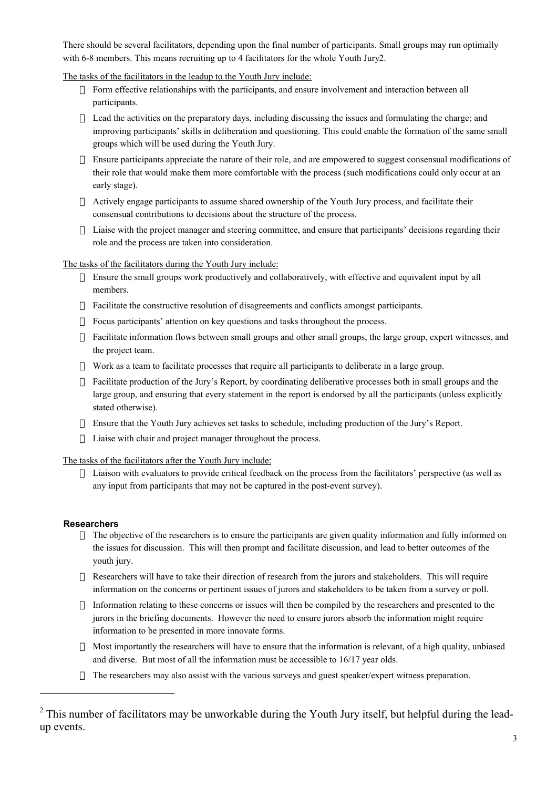There should be several facilitators, depending upon the final number of participants. Small groups may run optimally with 6-8 members. This means recruiting up to 4 facilitators for the whole Youth Jury2.

The tasks of the facilitators in the leadup to the Youth Jury include:

- $\overline{\phantom{a}}$  Form effective relationships with the participants, and ensure involvement and interaction between all participants.
- $\sim$  Lead the activities on the preparatory days, including discussing the issues and formulating the charge; and improving participants' skills in deliberation and questioning. This could enable the formation of the same small groups which will be used during the Youth Jury.
- $\overline{\phantom{a}}$  Ensure participants appreciate the nature of their role, and are empowered to suggest consensual modifications of their role that would make them more comfortable with the process (such modifications could only occur at an early stage).
- $\rightarrow$  Actively engage participants to assume shared ownership of the Youth Jury process, and facilitate their consensual contributions to decisions about the structure of the process.
- $\overline{\phantom{a}}$  Liaise with the project manager and steering committee, and ensure that participants' decisions regarding their role and the process are taken into consideration.

The tasks of the facilitators during the Youth Jury include:

- $\overline{\phantom{a}}$  Ensure the small groups work productively and collaboratively, with effective and equivalent input by all members.
- $\overline{\phantom{a}}$  Facilitate the constructive resolution of disagreements and conflicts amongst participants.
- $\overline{\phantom{a}}$  Focus participants' attention on key questions and tasks throughout the process.
- $\overline{\phantom{a}}$  Facilitate information flows between small groups and other small groups, the large group, expert witnesses, and the project team.
- ÿ Work as a team to facilitate processes that require all participants to deliberate in a large group.
- $\rightarrow$  Facilitate production of the Jury's Report, by coordinating deliberative processes both in small groups and the large group, and ensuring that every statement in the report is endorsed by all the participants (unless explicitly stated otherwise).
- $\overline{\phantom{a}}$  Ensure that the Youth Jury achieves set tasks to schedule, including production of the Jury's Report.
- $\lnot$  Liaise with chair and project manager throughout the process.

The tasks of the facilitators after the Youth Jury include:

 $\rightarrow$  Liaison with evaluators to provide critical feedback on the process from the facilitators' perspective (as well as any input from participants that may not be captured in the post-event survey).

## **Researchers**

 $\overline{a}$ 

- $\rightarrow$  The objective of the researchers is to ensure the participants are given quality information and fully informed on the issues for discussion. This will then prompt and facilitate discussion, and lead to better outcomes of the youth jury.
- $\rightarrow$  Researchers will have to take their direction of research from the jurors and stakeholders. This will require information on the concerns or pertinent issues of jurors and stakeholders to be taken from a survey or poll.
- $\rightarrow$  Information relating to these concerns or issues will then be compiled by the researchers and presented to the jurors in the briefing documents. However the need to ensure jurors absorb the information might require information to be presented in more innovate forms.
- $\rightarrow$  Most importantly the researchers will have to ensure that the information is relevant, of a high quality, unbiased and diverse. But most of all the information must be accessible to 16/17 year olds.
- $\rightarrow$  The researchers may also assist with the various surveys and guest speaker/expert witness preparation.

 $2$  This number of facilitators may be unworkable during the Youth Jury itself, but helpful during the leadup events.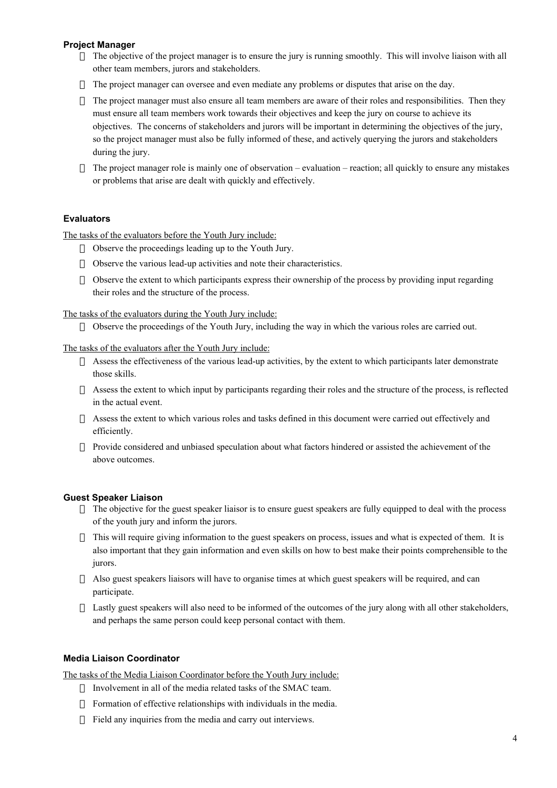## **Project Manager**

- $\rightarrow$  The objective of the project manager is to ensure the jury is running smoothly. This will involve liaison with all other team members, jurors and stakeholders.
- $\rightarrow$  The project manager can oversee and even mediate any problems or disputes that arise on the day.
- $\rightarrow$  The project manager must also ensure all team members are aware of their roles and responsibilities. Then they must ensure all team members work towards their objectives and keep the jury on course to achieve its objectives. The concerns of stakeholders and jurors will be important in determining the objectives of the jury, so the project manager must also be fully informed of these, and actively querying the jurors and stakeholders during the jury.
- $\rightarrow$  The project manager role is mainly one of observation evaluation reaction; all quickly to ensure any mistakes or problems that arise are dealt with quickly and effectively.

## **Evaluators**

The tasks of the evaluators before the Youth Jury include:

- $\lnot$  Observe the proceedings leading up to the Youth Jury.
- $\sim$  Observe the various lead-up activities and note their characteristics.
- $\rightarrow$  Observe the extent to which participants express their ownership of the process by providing input regarding their roles and the structure of the process.

The tasks of the evaluators during the Youth Jury include:

 $\rightarrow$  Observe the proceedings of the Youth Jury, including the way in which the various roles are carried out.

The tasks of the evaluators after the Youth Jury include:

- $\rightarrow$  Assess the effectiveness of the various lead-up activities, by the extent to which participants later demonstrate those skills.
- $\rightarrow$  Assess the extent to which input by participants regarding their roles and the structure of the process, is reflected in the actual event.
- $\rightarrow$  Assess the extent to which various roles and tasks defined in this document were carried out effectively and efficiently.
- $\rightarrow$  Provide considered and unbiased speculation about what factors hindered or assisted the achievement of the above outcomes.

#### **Guest Speaker Liaison**

- $\overline{\phantom{a}}$  The objective for the guest speaker liaisor is to ensure guest speakers are fully equipped to deal with the process of the youth jury and inform the jurors.
- $\overline{\phantom{a}}$  This will require giving information to the guest speakers on process, issues and what is expected of them. It is also important that they gain information and even skills on how to best make their points comprehensible to the jurors.
- $\rightarrow$  Also guest speakers liaisors will have to organise times at which guest speakers will be required, and can participate.
- $\rightarrow$  Lastly guest speakers will also need to be informed of the outcomes of the jury along with all other stakeholders, and perhaps the same person could keep personal contact with them.

## **Media Liaison Coordinator**

The tasks of the Media Liaison Coordinator before the Youth Jury include:

- $\lnot$  Involvement in all of the media related tasks of the SMAC team.
- $\overline{\phantom{a}}$  Formation of effective relationships with individuals in the media.
- $\lnot$  Field any inquiries from the media and carry out interviews.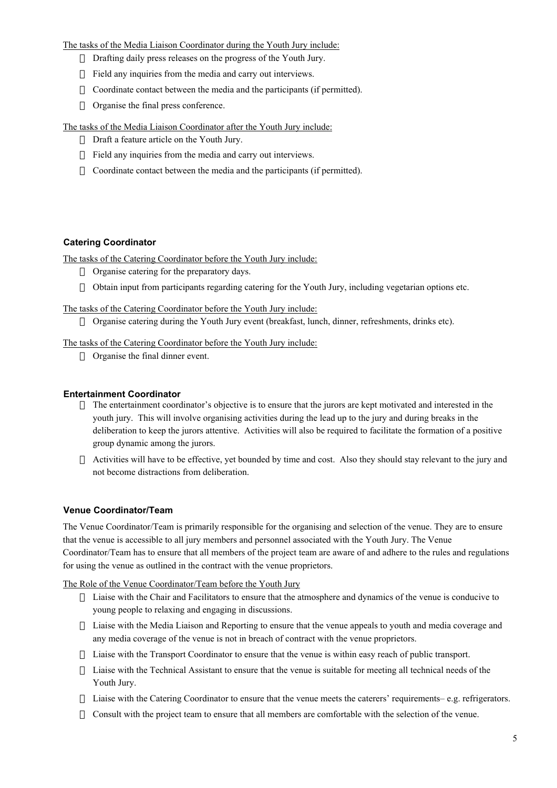The tasks of the Media Liaison Coordinator during the Youth Jury include:

- $\lnot$  Drafting daily press releases on the progress of the Youth Jury.
- $\lnot$  Field any inquiries from the media and carry out interviews.
- $\sim$  Coordinate contact between the media and the participants (if permitted).
- $\lnot$  Organise the final press conference.

The tasks of the Media Liaison Coordinator after the Youth Jury include:

- $\lnot$  Draft a feature article on the Youth Jury.
- $\lnot$  Field any inquiries from the media and carry out interviews.
- $\sim$  Coordinate contact between the media and the participants (if permitted).

#### **Catering Coordinator**

The tasks of the Catering Coordinator before the Youth Jury include:

- $\lnot$  Organise catering for the preparatory days.
- $\rightarrow$  Obtain input from participants regarding catering for the Youth Jury, including vegetarian options etc.

The tasks of the Catering Coordinator before the Youth Jury include:

ÿ Organise catering during the Youth Jury event (breakfast, lunch, dinner, refreshments, drinks etc).

The tasks of the Catering Coordinator before the Youth Jury include:

ÿ Organise the final dinner event.

#### **Entertainment Coordinator**

- $\rightarrow$  The entertainment coordinator's objective is to ensure that the jurors are kept motivated and interested in the youth jury. This will involve organising activities during the lead up to the jury and during breaks in the deliberation to keep the jurors attentive. Activities will also be required to facilitate the formation of a positive group dynamic among the jurors.
- $\rightarrow$  Activities will have to be effective, yet bounded by time and cost. Also they should stay relevant to the jury and not become distractions from deliberation.

#### **Venue Coordinator/Team**

The Venue Coordinator/Team is primarily responsible for the organising and selection of the venue. They are to ensure that the venue is accessible to all jury members and personnel associated with the Youth Jury. The Venue Coordinator/Team has to ensure that all members of the project team are aware of and adhere to the rules and regulations for using the venue as outlined in the contract with the venue proprietors.

The Role of the Venue Coordinator/Team before the Youth Jury

- $\sim$  Liaise with the Chair and Facilitators to ensure that the atmosphere and dynamics of the venue is conducive to young people to relaxing and engaging in discussions.
- $\overline{\phantom{a}}$  Liaise with the Media Liaison and Reporting to ensure that the venue appeals to youth and media coverage and any media coverage of the venue is not in breach of contract with the venue proprietors.
- $\sim$  Liaise with the Transport Coordinator to ensure that the venue is within easy reach of public transport.
- $\sim$  Liaise with the Technical Assistant to ensure that the venue is suitable for meeting all technical needs of the Youth Jury.
- ÿ Liaise with the Catering Coordinator to ensure that the venue meets the caterers' requirements– e.g. refrigerators.
- $\sim$  Consult with the project team to ensure that all members are comfortable with the selection of the venue.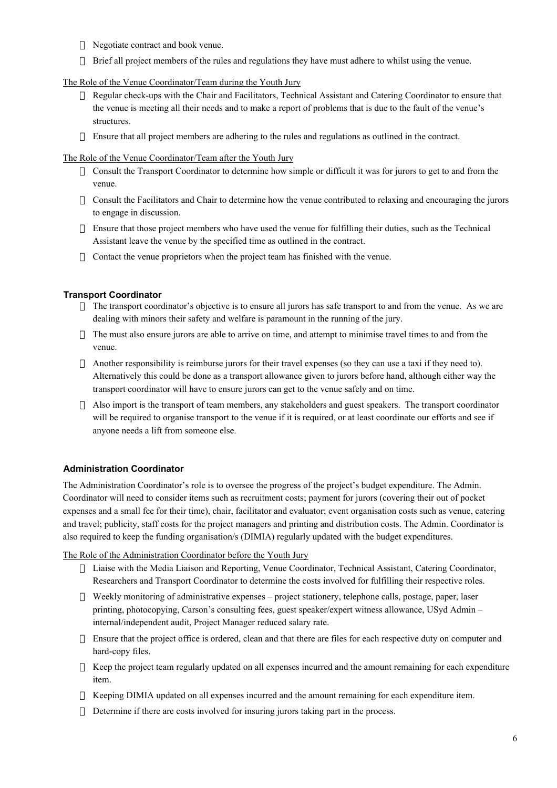- ÿ Negotiate contract and book venue.
- $\rightarrow$  Brief all project members of the rules and regulations they have must adhere to whilst using the venue.

## The Role of the Venue Coordinator/Team during the Youth Jury

- ÿ Regular check-ups with the Chair and Facilitators, Technical Assistant and Catering Coordinator to ensure that the venue is meeting all their needs and to make a report of problems that is due to the fault of the venue's structures.
- $\rightarrow$  Ensure that all project members are adhering to the rules and regulations as outlined in the contract.

## The Role of the Venue Coordinator/Team after the Youth Jury

- $\sim$  Consult the Transport Coordinator to determine how simple or difficult it was for jurors to get to and from the venue.
- $\sim$  Consult the Facilitators and Chair to determine how the venue contributed to relaxing and encouraging the jurors to engage in discussion.
- $\rightarrow$  Ensure that those project members who have used the venue for fulfilling their duties, such as the Technical Assistant leave the venue by the specified time as outlined in the contract.
- $\sim$  Contact the venue proprietors when the project team has finished with the venue.

## **Transport Coordinator**

- ÿ The transport coordinator's objective is to ensure all jurors has safe transport to and from the venue. As we are dealing with minors their safety and welfare is paramount in the running of the jury.
- $\rightarrow$  The must also ensure jurors are able to arrive on time, and attempt to minimise travel times to and from the venue.
- ÿ Another responsibility is reimburse jurors for their travel expenses (so they can use a taxi if they need to). Alternatively this could be done as a transport allowance given to jurors before hand, although either way the transport coordinator will have to ensure jurors can get to the venue safely and on time.
- $\rightarrow$  Also import is the transport of team members, any stakeholders and guest speakers. The transport coordinator will be required to organise transport to the venue if it is required, or at least coordinate our efforts and see if anyone needs a lift from someone else.

## **Administration Coordinator**

The Administration Coordinator's role is to oversee the progress of the project's budget expenditure. The Admin. Coordinator will need to consider items such as recruitment costs; payment for jurors (covering their out of pocket expenses and a small fee for their time), chair, facilitator and evaluator; event organisation costs such as venue, catering and travel; publicity, staff costs for the project managers and printing and distribution costs. The Admin. Coordinator is also required to keep the funding organisation/s (DIMIA) regularly updated with the budget expenditures.

The Role of the Administration Coordinator before the Youth Jury

- $\overline{\phantom{a}}$  Liaise with the Media Liaison and Reporting, Venue Coordinator, Technical Assistant, Catering Coordinator, Researchers and Transport Coordinator to determine the costs involved for fulfilling their respective roles.
- ÿ Weekly monitoring of administrative expenses project stationery, telephone calls, postage, paper, laser printing, photocopying, Carson's consulting fees, guest speaker/expert witness allowance, USyd Admin – internal/independent audit, Project Manager reduced salary rate.
- $\overline{\phantom{a}}$  Ensure that the project office is ordered, clean and that there are files for each respective duty on computer and hard-copy files.
- $\rightarrow$  Keep the project team regularly updated on all expenses incurred and the amount remaining for each expenditure item.
- $\rightarrow$  Keeping DIMIA updated on all expenses incurred and the amount remaining for each expenditure item.
- $\Box$  Determine if there are costs involved for insuring jurors taking part in the process.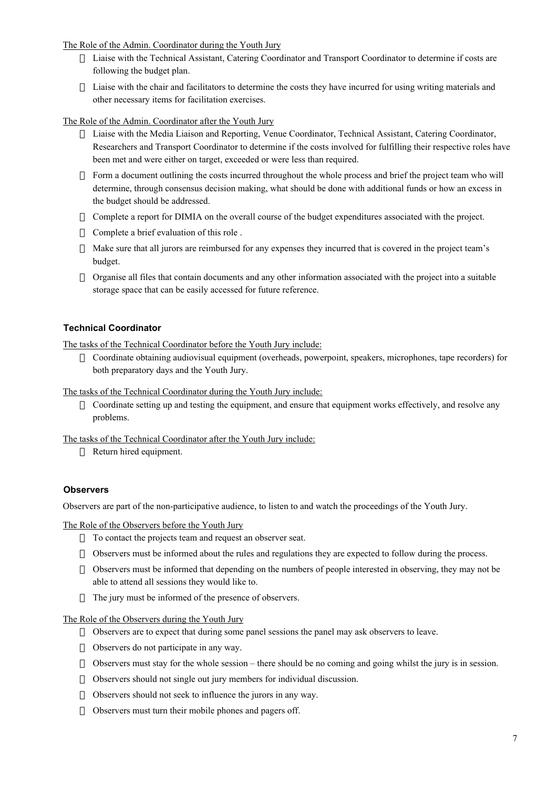The Role of the Admin. Coordinator during the Youth Jury

- $\overline{\phantom{a}}$  Liaise with the Technical Assistant, Catering Coordinator and Transport Coordinator to determine if costs are following the budget plan.
- ÿ Liaise with the chair and facilitators to determine the costs they have incurred for using writing materials and other necessary items for facilitation exercises.

The Role of the Admin. Coordinator after the Youth Jury

- $\rightarrow$  Liaise with the Media Liaison and Reporting, Venue Coordinator, Technical Assistant, Catering Coordinator, Researchers and Transport Coordinator to determine if the costs involved for fulfilling their respective roles have been met and were either on target, exceeded or were less than required.
- $\rightarrow$  Form a document outlining the costs incurred throughout the whole process and brief the project team who will determine, through consensus decision making, what should be done with additional funds or how an excess in the budget should be addressed.
- $\sim$  Complete a report for DIMIA on the overall course of the budget expenditures associated with the project.
- $\lnot$  Complete a brief evaluation of this role .
- ÿ Make sure that all jurors are reimbursed for any expenses they incurred that is covered in the project team's budget.
- $\sim$  Organise all files that contain documents and any other information associated with the project into a suitable storage space that can be easily accessed for future reference.

## **Technical Coordinator**

The tasks of the Technical Coordinator before the Youth Jury include:

ÿ Coordinate obtaining audiovisual equipment (overheads, powerpoint, speakers, microphones, tape recorders) for both preparatory days and the Youth Jury.

The tasks of the Technical Coordinator during the Youth Jury include:

 $\sim$  Coordinate setting up and testing the equipment, and ensure that equipment works effectively, and resolve any problems.

The tasks of the Technical Coordinator after the Youth Jury include:

 $\lnot$  Return hired equipment.

#### **Observers**

Observers are part of the non-participative audience, to listen to and watch the proceedings of the Youth Jury.

The Role of the Observers before the Youth Jury

- $\lnot$  To contact the projects team and request an observer seat.
- $\rightarrow$  Observers must be informed about the rules and regulations they are expected to follow during the process.
- $\sim$  Observers must be informed that depending on the numbers of people interested in observing, they may not be able to attend all sessions they would like to.
- $\lnot$  The jury must be informed of the presence of observers.

The Role of the Observers during the Youth Jury

- $\rightarrow$  Observers are to expect that during some panel sessions the panel may ask observers to leave.
- $\lnot$  Observers do not participate in any way.
- $\rightarrow$  Observers must stay for the whole session there should be no coming and going whilst the jury is in session.
- $\sim$  Observers should not single out jury members for individual discussion.
- ÿ Observers should not seek to influence the jurors in any way.
- $\lnot$  Observers must turn their mobile phones and pagers off.